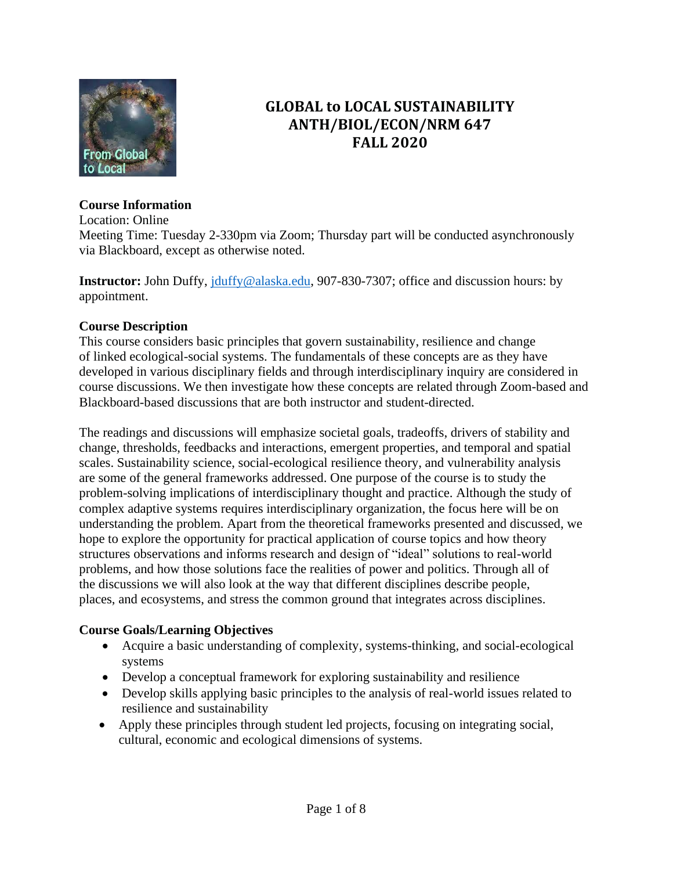

# **GLOBAL to LOCAL SUSTAINABILITY ANTH/BIOL/ECON/NRM 647 FALL 2020**

#### **Course Information**

Location: Online

Meeting Time: Tuesday 2-330pm via Zoom; Thursday part will be conducted asynchronously via Blackboard, except as otherwise noted.

**Instructor:** John Duffy, [jduffy@alaska.edu,](mailto:jduffy@alaska.edu) 907-830-7307; office and discussion hours: by appointment.

### **Course Description**

This course considers basic principles that govern sustainability, resilience and change of linked ecological-social systems. The fundamentals of these concepts are as they have developed in various disciplinary fields and through interdisciplinary inquiry are considered in course discussions. We then investigate how these concepts are related through Zoom-based and Blackboard-based discussions that are both instructor and student-directed.

The readings and discussions will emphasize societal goals, tradeoffs, drivers of stability and change, thresholds, feedbacks and interactions, emergent properties, and temporal and spatial scales. Sustainability science, social-ecological resilience theory, and vulnerability analysis are some of the general frameworks addressed. One purpose of the course is to study the problem-solving implications of interdisciplinary thought and practice. Although the study of complex adaptive systems requires interdisciplinary organization, the focus here will be on understanding the problem. Apart from the theoretical frameworks presented and discussed, we hope to explore the opportunity for practical application of course topics and how theory structures observations and informs research and design of "ideal" solutions to real-world problems, and how those solutions face the realities of power and politics. Through all of the discussions we will also look at the way that different disciplines describe people, places, and ecosystems, and stress the common ground that integrates across disciplines.

#### **Course Goals/Learning Objectives**

- Acquire a basic understanding of complexity, systems-thinking, and social-ecological systems
- Develop a conceptual framework for exploring sustainability and resilience
- Develop skills applying basic principles to the analysis of real-world issues related to resilience and sustainability
- Apply these principles through student led projects, focusing on integrating social, cultural, economic and ecological dimensions of systems.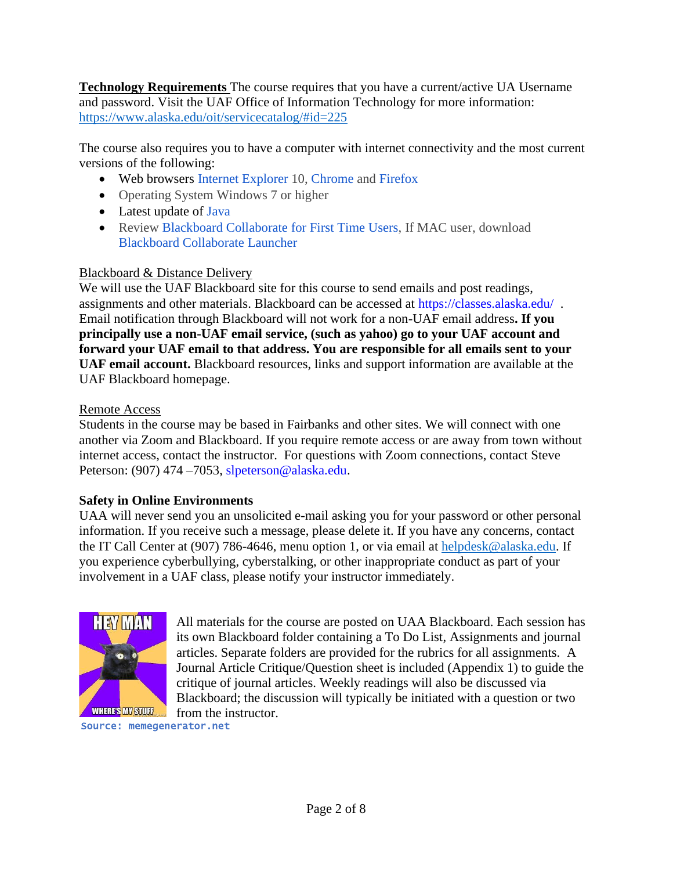**Technology Requirements** The course requires that you have a current/active UA Username and password. Visit the UAF Office of Information Technology for more information: <https://www.alaska.edu/oit/servicecatalog/#id=225>

The course also requires you to have a computer with internet connectivity and the most current versions of the following:

- Web browsers Internet Explorer 10, Chrome and Firefox
- Operating System Windows 7 or higher
- Latest update of Java
- Review Blackboard Collaborate for First Time Users, If MAC user, download Blackboard Collaborate Launcher

#### Blackboard & Distance Delivery

We will use the UAF Blackboard site for this course to send emails and post readings, assignments and other materials. Blackboard can be accessed at<https://classes.alaska.edu/>. Email notification through Blackboard will not work for a non-UAF email address**. If you principally use a non-UAF email service, (such as yahoo) go to your UAF account and forward your UAF email to that address. You are responsible for all emails sent to your UAF email account.** Blackboard resources, links and support information are available at the UAF Blackboard homepage.

#### Remote Access

Students in the course may be based in Fairbanks and other sites. We will connect with one another via Zoom and Blackboard. If you require remote access or are away from town without internet access, contact the instructor. For questions with Zoom connections, contact Steve Peterson: (907) 474 – 7053, [slpeterson@alaska.edu.](mailto:slpeterson@alaska.edu)

### **Safety in Online Environments**

UAA will never send you an unsolicited e-mail asking you for your password or other personal information. If you receive such a message, please delete it. If you have any concerns, contact the IT Call Center at (907) 786-4646, menu option 1, or via email at [helpdesk@alaska.edu.](mailto:helpdesk@alaska.edu) If you experience cyberbullying, cyberstalking, or other inappropriate conduct as part of your involvement in a UAF class, please notify your instructor immediately.



All materials for the course are posted on UAA Blackboard. Each session has its own Blackboard folder containing a To Do List, Assignments and journal articles. Separate folders are provided for the rubrics for all assignments. A Journal Article Critique/Question sheet is included (Appendix 1) to guide the critique of journal articles. Weekly readings will also be discussed via Blackboard; the discussion will typically be initiated with a question or two from the instructor.

Source: memegenerator.net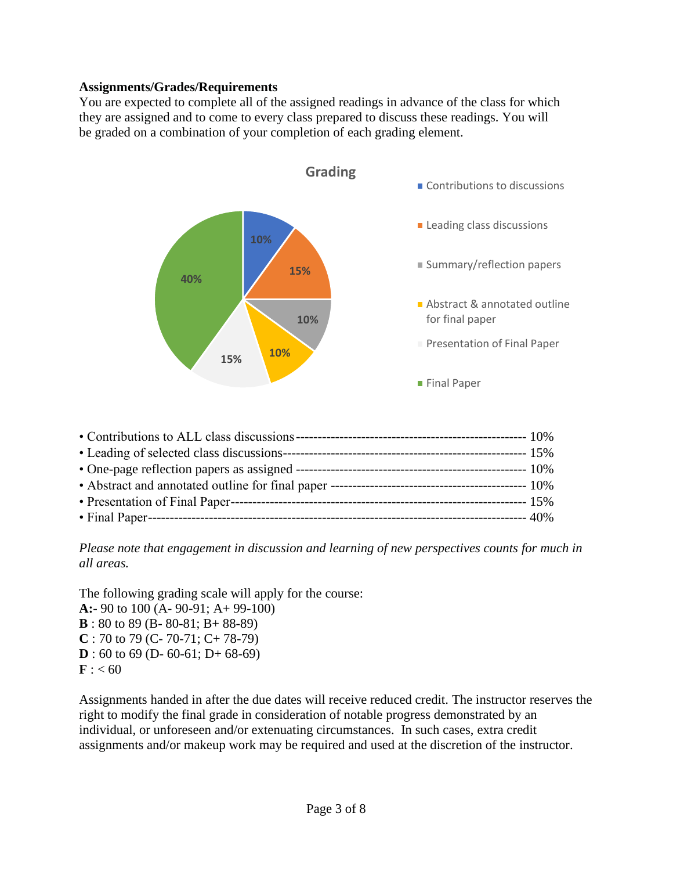#### **Assignments/Grades/Requirements**

You are expected to complete all of the assigned readings in advance of the class for which they are assigned and to come to every class prepared to discuss these readings. You will be graded on a combination of your completion of each grading element.



*Please note that engagement in discussion and learning of new perspectives counts for much in all areas.*

The following grading scale will apply for the course:

**A:**- 90 to 100 (A- 90-91; A+ 99-100) **B** : 80 to 89 (B- 80-81; B+ 88-89) **C** : 70 to 79 (C- 70-71; C+ 78-79) **D** : 60 to 69 (D- 60-61; D+ 68-69)  $$ 

Assignments handed in after the due dates will receive reduced credit. The instructor reserves the right to modify the final grade in consideration of notable progress demonstrated by an individual, or unforeseen and/or extenuating circumstances. In such cases, extra credit assignments and/or makeup work may be required and used at the discretion of the instructor.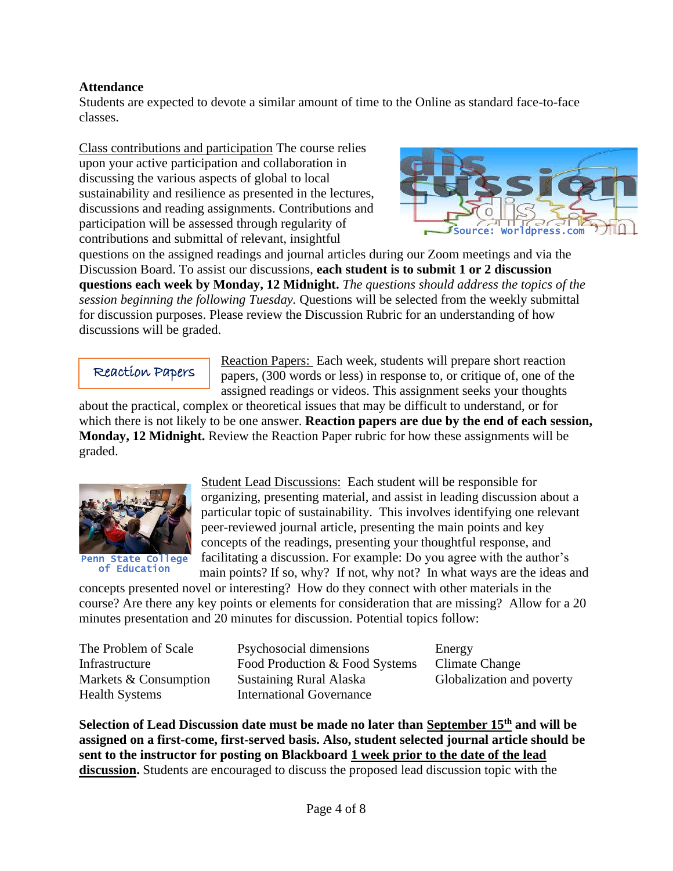#### **Attendance**

Students are expected to devote a similar amount of time to the Online as standard face-to-face classes.

Class contributions and participation The course relies upon your active participation and collaboration in discussing the various aspects of global to local sustainability and resilience as presented in the lectures, discussions and reading assignments. Contributions and participation will be assessed through regularity of contributions and submittal of relevant, insightful



questions on the assigned readings and journal articles during our Zoom meetings and via the Discussion Board. To assist our discussions, **each student is to submit 1 or 2 discussion questions each week by Monday, 12 Midnight.** *The questions should address the topics of the session beginning the following Tuesday.* Questions will be selected from the weekly submittal for discussion purposes. Please review the Discussion Rubric for an understanding of how discussions will be graded.

Reaction Papers

Reaction Papers: Each week, students will prepare short reaction papers, (300 words or less) in response to, or critique of, one of the assigned readings or videos. This assignment seeks your thoughts

about the practical, complex or theoretical issues that may be difficult to understand, or for which there is not likely to be one answer. **Reaction papers are due by the end of each session, Monday, 12 Midnight.** Review the Reaction Paper rubric for how these assignments will be graded.



Penn State College of Education

Student Lead Discussions: Each student will be responsible for organizing, presenting material, and assist in leading discussion about a particular topic of sustainability. This involves identifying one relevant peer-reviewed journal article, presenting the main points and key concepts of the readings, presenting your thoughtful response, and facilitating a discussion. For example: Do you agree with the author's main points? If so, why? If not, why not? In what ways are the ideas and

concepts presented novel or interesting? How do they connect with other materials in the course? Are there any key points or elements for consideration that are missing? Allow for a 20 minutes presentation and 20 minutes for discussion. Potential topics follow:

Health Systems **International Governance** 

The Problem of Scale Psychosocial dimensions Energy Infrastructure Food Production & Food Systems Climate Change Markets & Consumption Sustaining Rural Alaska Globalization and poverty

**Selection of Lead Discussion date must be made no later than September 15th and will be assigned on a first-come, first-served basis. Also, student selected journal article should be sent to the instructor for posting on Blackboard 1 week prior to the date of the lead discussion.** Students are encouraged to discuss the proposed lead discussion topic with the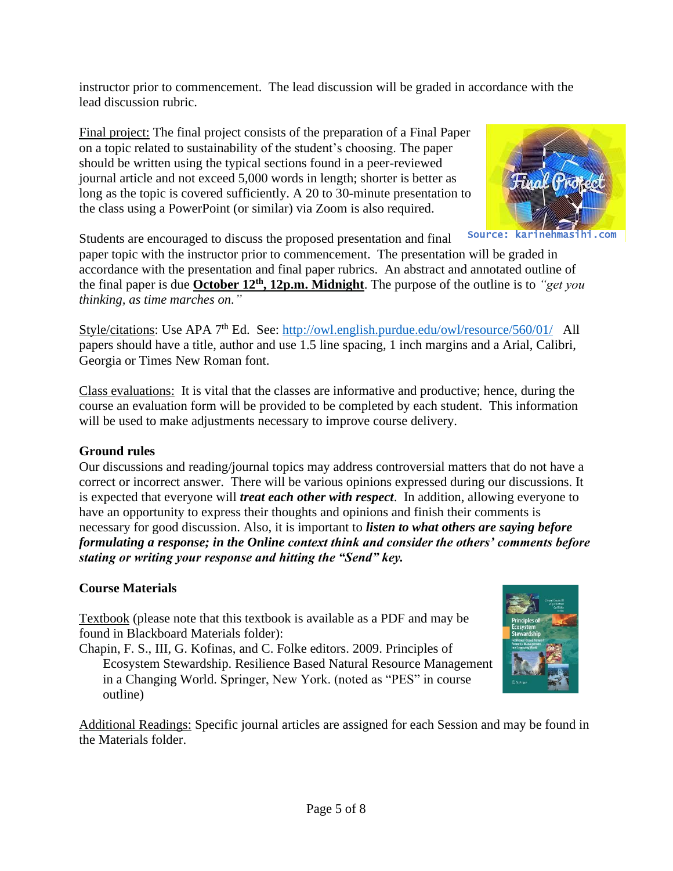instructor prior to commencement. The lead discussion will be graded in accordance with the lead discussion rubric.

Final project: The final project consists of the preparation of a Final Paper on a topic related to sustainability of the student's choosing. The paper should be written using the typical sections found in a peer-reviewed journal article and not exceed 5,000 words in length; shorter is better as long as the topic is covered sufficiently. A 20 to 30-minute presentation to the class using a PowerPoint (or similar) via Zoom is also required.



Source: karinehmasi

Students are encouraged to discuss the proposed presentation and final

paper topic with the instructor prior to commencement. The presentation will be graded in accordance with the presentation and final paper rubrics. An abstract and annotated outline of the final paper is due **October 12th , 12p.m. Midnight**. The purpose of the outline is to *"get you thinking, as time marches on."*

Style/citations: Use APA 7<sup>th</sup> Ed. See:<http://owl.english.purdue.edu/owl/resource/560/01/>All papers should have a title, author and use 1.5 line spacing, 1 inch margins and a Arial, Calibri, Georgia or Times New Roman font.

Class evaluations: It is vital that the classes are informative and productive; hence, during the course an evaluation form will be provided to be completed by each student. This information will be used to make adjustments necessary to improve course delivery.

## **Ground rules**

Our discussions and reading/journal topics may address controversial matters that do not have a correct or incorrect answer. There will be various opinions expressed during our discussions. It is expected that everyone will *treat each other with respect*. In addition, allowing everyone to have an opportunity to express their thoughts and opinions and finish their comments is necessary for good discussion. Also, it is important to *listen to what others are saying before formulating a response; in the Online context think and consider the others' comments before stating or writing your response and hitting the "Send" key.*

## **Course Materials**

Textbook (please note that this textbook is available as a PDF and may be found in Blackboard Materials folder):

Chapin, F. S., III, G. Kofinas, and C. Folke editors. 2009. Principles of Ecosystem Stewardship. Resilience Based Natural Resource Management in a Changing World. Springer, New York. (noted as "PES" in course outline)



Additional Readings: Specific journal articles are assigned for each Session and may be found in the Materials folder.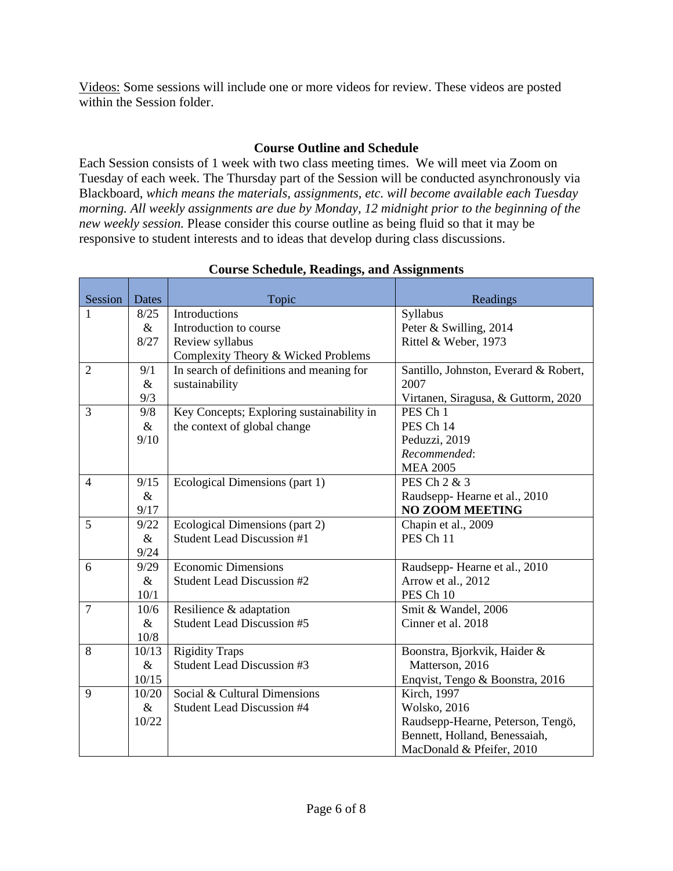Videos: Some sessions will include one or more videos for review. These videos are posted within the Session folder.

#### **Course Outline and Schedule**

Each Session consists of 1 week with two class meeting times. We will meet via Zoom on Tuesday of each week. The Thursday part of the Session will be conducted asynchronously via Blackboard, *which means the materials, assignments, etc. will become available each Tuesday morning. All weekly assignments are due by Monday, 12 midnight prior to the beginning of the new weekly session.* Please consider this course outline as being fluid so that it may be responsive to student interests and to ideas that develop during class discussions.

| Session        | <b>Dates</b> | Topic                                     | Readings                              |
|----------------|--------------|-------------------------------------------|---------------------------------------|
| 1              | 8/25         | Introductions                             | Syllabus                              |
|                | $\&$         | Introduction to course                    | Peter & Swilling, 2014                |
|                | 8/27         | Review syllabus                           | Rittel & Weber, 1973                  |
|                |              | Complexity Theory & Wicked Problems       |                                       |
| $\overline{2}$ | 9/1          | In search of definitions and meaning for  | Santillo, Johnston, Everard & Robert, |
|                | $\&$         | sustainability                            | 2007                                  |
|                | 9/3          |                                           | Virtanen, Siragusa, & Guttorm, 2020   |
| 3              | 9/8          | Key Concepts; Exploring sustainability in | PES Ch 1                              |
|                | $\&$         | the context of global change              | PES Ch 14                             |
|                | 9/10         |                                           | Peduzzi, 2019                         |
|                |              |                                           | Recommended:                          |
|                |              |                                           | <b>MEA 2005</b>                       |
| $\overline{4}$ | 9/15         | Ecological Dimensions (part 1)            | PES Ch 2 & 3                          |
|                | $\&$         |                                           | Raudsepp-Hearne et al., 2010          |
|                | 9/17         |                                           | <b>NO ZOOM MEETING</b>                |
| 5              | 9/22         | Ecological Dimensions (part 2)            | Chapin et al., 2009                   |
|                | $\&$         | Student Lead Discussion #1                | PES Ch 11                             |
|                | 9/24         |                                           |                                       |
| 6              | 9/29         | <b>Economic Dimensions</b>                | Raudsepp-Hearne et al., 2010          |
|                | $\&$         | Student Lead Discussion #2                | Arrow et al., 2012                    |
|                | 10/1         |                                           | PES Ch 10                             |
| $\overline{7}$ | 10/6         | Resilience & adaptation                   | Smit & Wandel, 2006                   |
|                | $\&$         | <b>Student Lead Discussion #5</b>         | Cinner et al. 2018                    |
|                | 10/8         |                                           |                                       |
| 8              | 10/13        | <b>Rigidity Traps</b>                     | Boonstra, Bjorkvik, Haider &          |
|                | $\&$         | <b>Student Lead Discussion #3</b>         | Matterson, 2016                       |
|                | 10/15        |                                           | Enqvist, Tengo & Boonstra, 2016       |
| 9              | 10/20        | Social & Cultural Dimensions              | Kirch, 1997                           |
|                | $\&$         | <b>Student Lead Discussion #4</b>         | <b>Wolsko</b> , 2016                  |
|                | 10/22        |                                           | Raudsepp-Hearne, Peterson, Tengö,     |
|                |              |                                           | Bennett, Holland, Benessaiah,         |
|                |              |                                           | MacDonald & Pfeifer, 2010             |

#### **Course Schedule, Readings, and Assignments**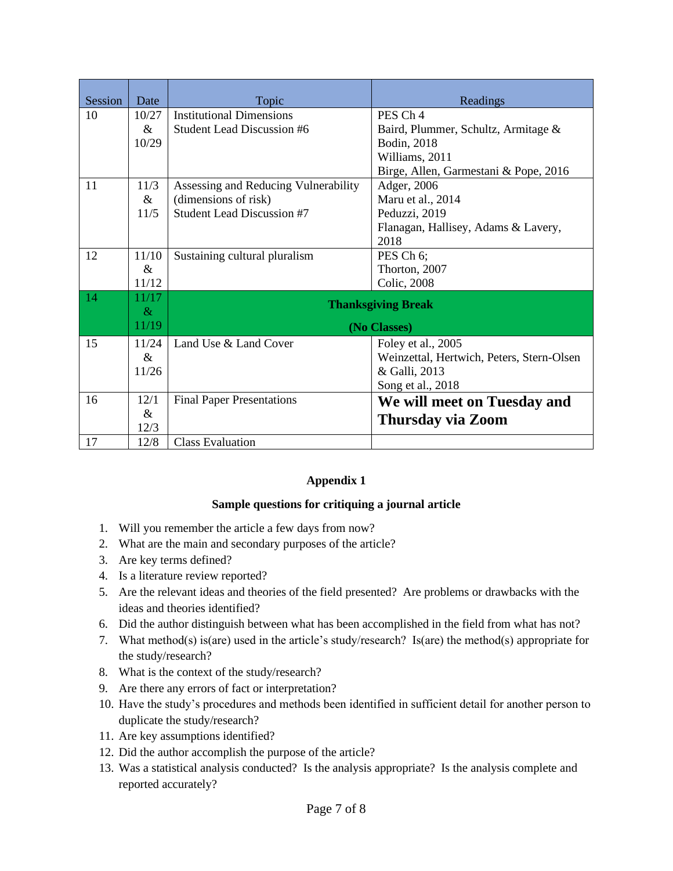| <b>Session</b> | Date          | Topic                                | Readings                                  |  |
|----------------|---------------|--------------------------------------|-------------------------------------------|--|
| 10             | 10/27         | <b>Institutional Dimensions</b>      | PES Ch <sub>4</sub>                       |  |
|                | $\&$          | <b>Student Lead Discussion #6</b>    | Baird, Plummer, Schultz, Armitage &       |  |
|                | 10/29         |                                      | Bodin, 2018                               |  |
|                |               |                                      | Williams, 2011                            |  |
|                |               |                                      | Birge, Allen, Garmestani & Pope, 2016     |  |
| 11             | 11/3          | Assessing and Reducing Vulnerability | Adger, 2006                               |  |
|                | $\&$          | (dimensions of risk)                 | Maru et al., 2014                         |  |
|                | 11/5          | <b>Student Lead Discussion #7</b>    | Peduzzi, 2019                             |  |
|                |               |                                      | Flanagan, Hallisey, Adams & Lavery,       |  |
|                |               |                                      | 2018                                      |  |
| 12             | 11/10         | Sustaining cultural pluralism        | PES Ch 6;                                 |  |
|                | $\&$          |                                      | Thorton, 2007                             |  |
|                | 11/12         |                                      | Colic, 2008                               |  |
| 14             | 11/17         | <b>Thanksgiving Break</b>            |                                           |  |
|                | $\&$<br>11/19 |                                      |                                           |  |
|                |               | (No Classes)                         |                                           |  |
| 15             | 11/24         | Land Use & Land Cover                | Foley et al., 2005                        |  |
|                | $\&$          |                                      | Weinzettal, Hertwich, Peters, Stern-Olsen |  |
|                | 11/26         |                                      | & Galli, 2013                             |  |
|                |               |                                      | Song et al., 2018                         |  |
| 16             | 12/1          | <b>Final Paper Presentations</b>     | We will meet on Tuesday and               |  |
|                | &<br>12/3     |                                      | Thursday via Zoom                         |  |
| 17             | 12/8          | <b>Class Evaluation</b>              |                                           |  |
|                |               |                                      |                                           |  |

#### **Appendix 1**

#### **Sample questions for critiquing a journal article**

- 1. Will you remember the article a few days from now?
- 2. What are the main and secondary purposes of the article?
- 3. Are key terms defined?
- 4. Is a literature review reported?
- 5. Are the relevant ideas and theories of the field presented? Are problems or drawbacks with the ideas and theories identified?
- 6. Did the author distinguish between what has been accomplished in the field from what has not?
- 7. What method(s) is(are) used in the article's study/research? Is(are) the method(s) appropriate for the study/research?
- 8. What is the context of the study/research?
- 9. Are there any errors of fact or interpretation?
- 10. Have the study's procedures and methods been identified in sufficient detail for another person to duplicate the study/research?
- 11. Are key assumptions identified?
- 12. Did the author accomplish the purpose of the article?
- 13. Was a statistical analysis conducted? Is the analysis appropriate? Is the analysis complete and reported accurately?